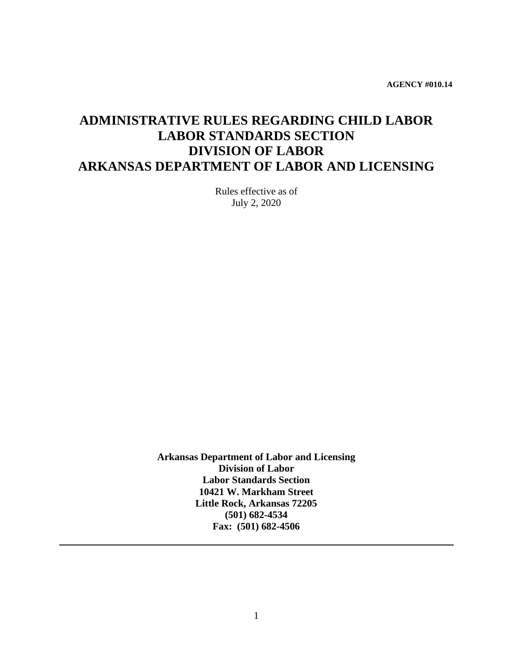**AGENCY #010.14**

# **ADMINISTRATIVE RULES REGARDING CHILD LABOR LABOR STANDARDS SECTION DIVISION OF LABOR ARKANSAS DEPARTMENT OF LABOR AND LICENSING**

Rules effective as of July 2, 2020

**Arkansas Department of Labor and Licensing Division of Labor Labor Standards Section 10421 W. Markham Street Little Rock, Arkansas 72205 (501) 682-4534 Fax: (501) 682-4506**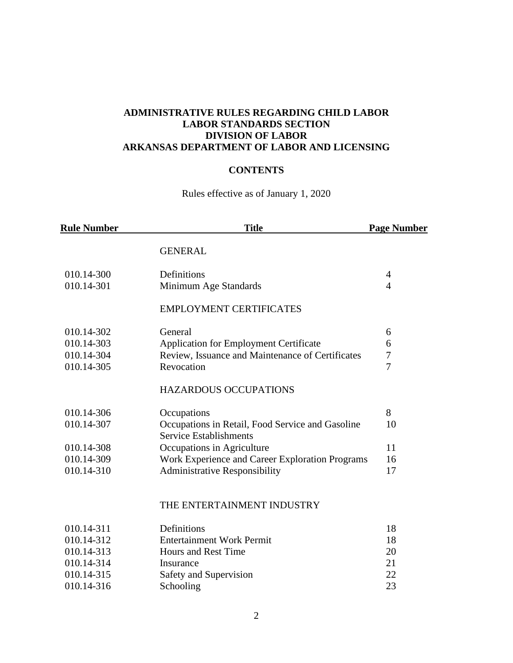# **ADMINISTRATIVE RULES REGARDING CHILD LABOR LABOR STANDARDS SECTION DIVISION OF LABOR ARKANSAS DEPARTMENT OF LABOR AND LICENSING**

# **CONTENTS**

Rules effective as of January 1, 2020

| <b>Rule Number</b> | <b>Title</b>                                     | <b>Page Number</b> |
|--------------------|--------------------------------------------------|--------------------|
|                    | <b>GENERAL</b>                                   |                    |
| 010.14-300         | Definitions                                      | $\overline{4}$     |
| 010.14-301         | Minimum Age Standards                            | $\overline{4}$     |
|                    | <b>EMPLOYMENT CERTIFICATES</b>                   |                    |
| 010.14-302         | General                                          | 6                  |
| 010.14-303         | <b>Application for Employment Certificate</b>    | 6                  |
| 010.14-304         | Review, Issuance and Maintenance of Certificates | 7                  |
| 010.14-305         | Revocation                                       | $\overline{7}$     |
|                    | <b>HAZARDOUS OCCUPATIONS</b>                     |                    |
| 010.14-306         | Occupations                                      | 8                  |
| 010.14-307         | Occupations in Retail, Food Service and Gasoline | 10                 |
|                    | <b>Service Establishments</b>                    |                    |
| 010.14-308         | Occupations in Agriculture                       | 11                 |
| 010.14-309         | Work Experience and Career Exploration Programs  | 16                 |
| 010.14-310         | <b>Administrative Responsibility</b>             | 17                 |
|                    | THE ENTERTAINMENT INDUSTRY                       |                    |
| 010.14-311         | Definitions                                      | 18                 |
| 010.14-312         | <b>Entertainment Work Permit</b>                 | 18                 |
| 010.14-313         | Hours and Rest Time                              | 20                 |
| 010.14-314         | Insurance                                        | 21                 |
| 010.14-315         | Safety and Supervision                           | 22                 |
| 010.14-316         | Schooling                                        | 23                 |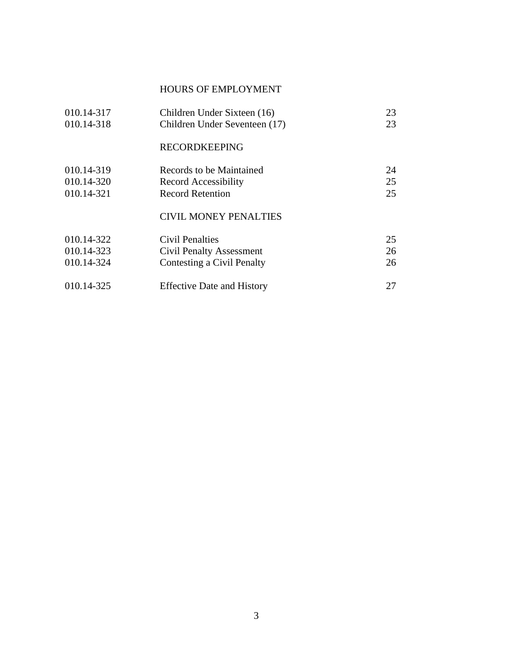# HOURS OF EMPLOYMENT

| 010.14-317<br>010.14-318 | Children Under Sixteen (16)<br>Children Under Seventeen (17) | 23<br>23 |
|--------------------------|--------------------------------------------------------------|----------|
|                          | <b>RECORDKEEPING</b>                                         |          |
| 010.14-319               | Records to be Maintained                                     | 24       |
| 010.14-320               | Record Accessibility                                         | 25       |
| 010.14-321               | <b>Record Retention</b>                                      | 25       |
|                          | <b>CIVIL MONEY PENALTIES</b>                                 |          |
| 010.14-322               | <b>Civil Penalties</b>                                       | 25       |
| 010.14-323               | <b>Civil Penalty Assessment</b>                              | 26       |
| 010.14-324               | Contesting a Civil Penalty                                   | 26       |
| 010.14-325               | <b>Effective Date and History</b>                            | 27       |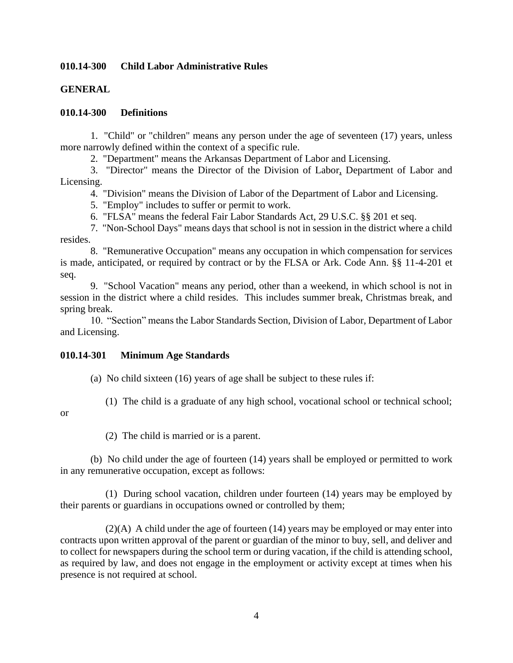# **010.14-300 Child Labor Administrative Rules**

# **GENERAL**

#### **010.14-300 Definitions**

1. "Child" or "children" means any person under the age of seventeen (17) years, unless more narrowly defined within the context of a specific rule.

2. "Department" means the Arkansas Department of Labor and Licensing.

3. "Director" means the Director of the Division of Labor, Department of Labor and Licensing.

4. "Division" means the Division of Labor of the Department of Labor and Licensing.

5. "Employ" includes to suffer or permit to work.

6. "FLSA" means the federal Fair Labor Standards Act, 29 U.S.C. §§ 201 et seq.

7. "Non-School Days" means days that school is not in session in the district where a child resides.

8. "Remunerative Occupation" means any occupation in which compensation for services is made, anticipated, or required by contract or by the FLSA or Ark. Code Ann. §§ 11-4-201 et seq.

9. "School Vacation" means any period, other than a weekend, in which school is not in session in the district where a child resides. This includes summer break, Christmas break, and spring break.

10. "Section" means the Labor Standards Section, Division of Labor, Department of Labor and Licensing.

#### **010.14-301 Minimum Age Standards**

(a) No child sixteen (16) years of age shall be subject to these rules if:

(1) The child is a graduate of any high school, vocational school or technical school;

#### or

(2) The child is married or is a parent.

(b) No child under the age of fourteen (14) years shall be employed or permitted to work in any remunerative occupation, except as follows:

(1) During school vacation, children under fourteen (14) years may be employed by their parents or guardians in occupations owned or controlled by them;

 $(2)(A)$  A child under the age of fourteen (14) years may be employed or may enter into contracts upon written approval of the parent or guardian of the minor to buy, sell, and deliver and to collect for newspapers during the school term or during vacation, if the child is attending school, as required by law, and does not engage in the employment or activity except at times when his presence is not required at school.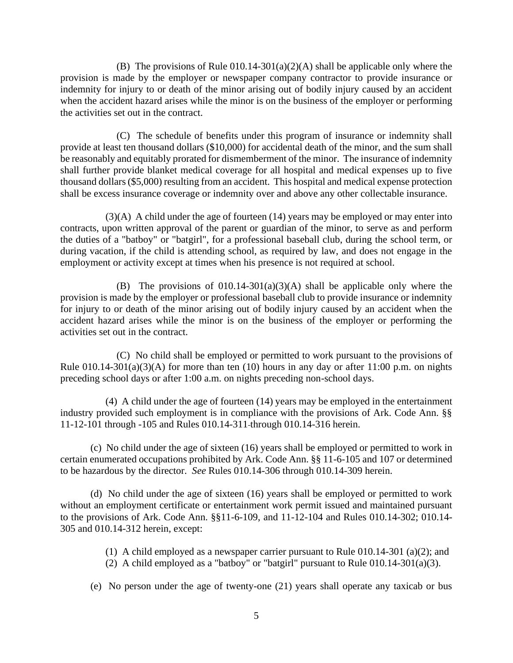(B) The provisions of Rule 010.14-301(a)(2)(A) shall be applicable only where the provision is made by the employer or newspaper company contractor to provide insurance or indemnity for injury to or death of the minor arising out of bodily injury caused by an accident when the accident hazard arises while the minor is on the business of the employer or performing the activities set out in the contract.

(C) The schedule of benefits under this program of insurance or indemnity shall provide at least ten thousand dollars (\$10,000) for accidental death of the minor, and the sum shall be reasonably and equitably prorated for dismemberment of the minor. The insurance of indemnity shall further provide blanket medical coverage for all hospital and medical expenses up to five thousand dollars (\$5,000) resulting from an accident. This hospital and medical expense protection shall be excess insurance coverage or indemnity over and above any other collectable insurance.

(3)(A) A child under the age of fourteen (14) years may be employed or may enter into contracts, upon written approval of the parent or guardian of the minor, to serve as and perform the duties of a "batboy" or "batgirl", for a professional baseball club, during the school term, or during vacation, if the child is attending school, as required by law, and does not engage in the employment or activity except at times when his presence is not required at school.

(B) The provisions of  $010.14-301(a)(3)(A)$  shall be applicable only where the provision is made by the employer or professional baseball club to provide insurance or indemnity for injury to or death of the minor arising out of bodily injury caused by an accident when the accident hazard arises while the minor is on the business of the employer or performing the activities set out in the contract.

(C) No child shall be employed or permitted to work pursuant to the provisions of Rule  $010.14-301(a)(3)(A)$  for more than ten (10) hours in any day or after 11:00 p.m. on nights preceding school days or after 1:00 a.m. on nights preceding non-school days.

(4) A child under the age of fourteen (14) years may be employed in the entertainment industry provided such employment is in compliance with the provisions of Ark. Code Ann. §§ 11-12-101 through -105 and Rules 010.14-311 through 010.14-316 herein.

(c) No child under the age of sixteen (16) years shall be employed or permitted to work in certain enumerated occupations prohibited by Ark. Code Ann. §§ 11-6-105 and 107 or determined to be hazardous by the director. *See* Rules 010.14-306 through 010.14-309 herein.

(d) No child under the age of sixteen (16) years shall be employed or permitted to work without an employment certificate or entertainment work permit issued and maintained pursuant to the provisions of Ark. Code Ann. §§11-6-109, and 11-12-104 and Rules 010.14-302; 010.14- 305 and 010.14-312 herein, except:

(1) A child employed as a newspaper carrier pursuant to Rule 010.14-301 (a)(2); and

- (2) A child employed as a "batboy" or "batgirl" pursuant to Rule  $010.14-301(a)(3)$ .
- (e) No person under the age of twenty-one (21) years shall operate any taxicab or bus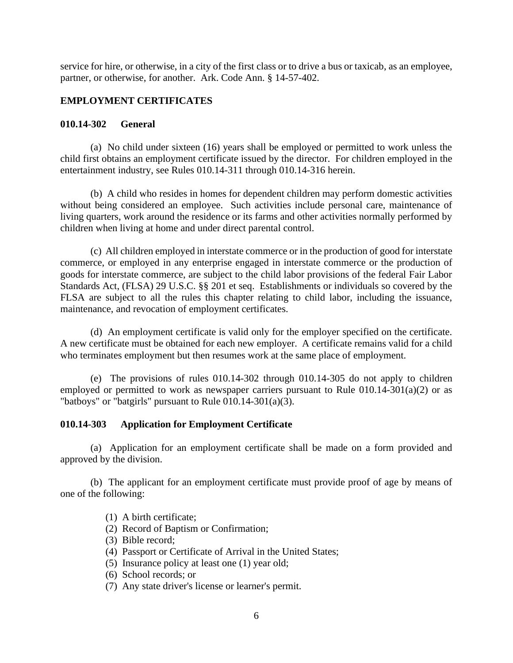service for hire, or otherwise, in a city of the first class or to drive a bus or taxicab, as an employee, partner, or otherwise, for another. Ark. Code Ann. § 14-57-402.

# **EMPLOYMENT CERTIFICATES**

#### **010.14-302 General**

(a) No child under sixteen (16) years shall be employed or permitted to work unless the child first obtains an employment certificate issued by the director. For children employed in the entertainment industry, see Rules 010.14-311 through 010.14-316 herein.

(b) A child who resides in homes for dependent children may perform domestic activities without being considered an employee. Such activities include personal care, maintenance of living quarters, work around the residence or its farms and other activities normally performed by children when living at home and under direct parental control.

(c) All children employed in interstate commerce or in the production of good for interstate commerce, or employed in any enterprise engaged in interstate commerce or the production of goods for interstate commerce, are subject to the child labor provisions of the federal Fair Labor Standards Act, (FLSA) 29 U.S.C. §§ 201 et seq. Establishments or individuals so covered by the FLSA are subject to all the rules this chapter relating to child labor, including the issuance, maintenance, and revocation of employment certificates.

(d) An employment certificate is valid only for the employer specified on the certificate. A new certificate must be obtained for each new employer. A certificate remains valid for a child who terminates employment but then resumes work at the same place of employment.

(e) The provisions of rules 010.14-302 through 010.14-305 do not apply to children employed or permitted to work as newspaper carriers pursuant to Rule  $010.14-301(a)(2)$  or as "batboys" or "batgirls" pursuant to Rule 010.14-301(a)(3).

#### **010.14-303 Application for Employment Certificate**

(a) Application for an employment certificate shall be made on a form provided and approved by the division.

(b) The applicant for an employment certificate must provide proof of age by means of one of the following:

- (1) A birth certificate;
- (2) Record of Baptism or Confirmation;
- (3) Bible record;
- (4) Passport or Certificate of Arrival in the United States;
- (5) Insurance policy at least one (1) year old;
- (6) School records; or
- (7) Any state driver's license or learner's permit.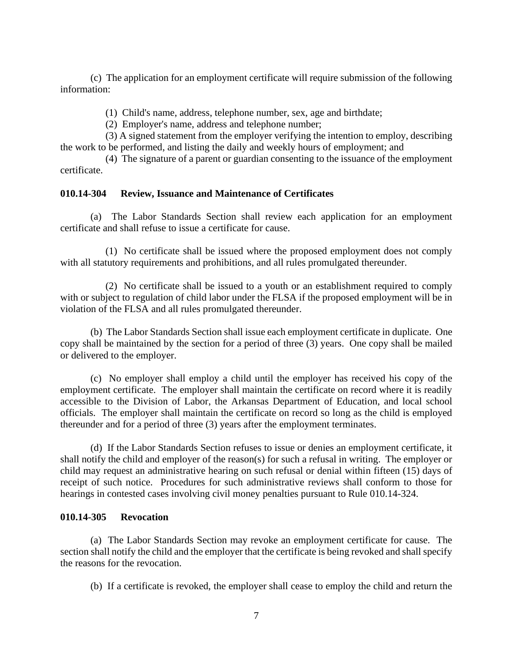(c) The application for an employment certificate will require submission of the following information:

(1) Child's name, address, telephone number, sex, age and birthdate;

(2) Employer's name, address and telephone number;

(3) A signed statement from the employer verifying the intention to employ, describing the work to be performed, and listing the daily and weekly hours of employment; and

(4) The signature of a parent or guardian consenting to the issuance of the employment certificate.

#### **010.14-304 Review, Issuance and Maintenance of Certificates**

(a) The Labor Standards Section shall review each application for an employment certificate and shall refuse to issue a certificate for cause.

(1) No certificate shall be issued where the proposed employment does not comply with all statutory requirements and prohibitions, and all rules promulgated thereunder.

(2) No certificate shall be issued to a youth or an establishment required to comply with or subject to regulation of child labor under the FLSA if the proposed employment will be in violation of the FLSA and all rules promulgated thereunder.

(b) The Labor Standards Section shall issue each employment certificate in duplicate. One copy shall be maintained by the section for a period of three (3) years. One copy shall be mailed or delivered to the employer.

(c) No employer shall employ a child until the employer has received his copy of the employment certificate. The employer shall maintain the certificate on record where it is readily accessible to the Division of Labor, the Arkansas Department of Education, and local school officials. The employer shall maintain the certificate on record so long as the child is employed thereunder and for a period of three (3) years after the employment terminates.

(d) If the Labor Standards Section refuses to issue or denies an employment certificate, it shall notify the child and employer of the reason(s) for such a refusal in writing. The employer or child may request an administrative hearing on such refusal or denial within fifteen (15) days of receipt of such notice. Procedures for such administrative reviews shall conform to those for hearings in contested cases involving civil money penalties pursuant to Rule 010.14-324.

### **010.14-305 Revocation**

(a) The Labor Standards Section may revoke an employment certificate for cause. The section shall notify the child and the employer that the certificate is being revoked and shall specify the reasons for the revocation.

(b) If a certificate is revoked, the employer shall cease to employ the child and return the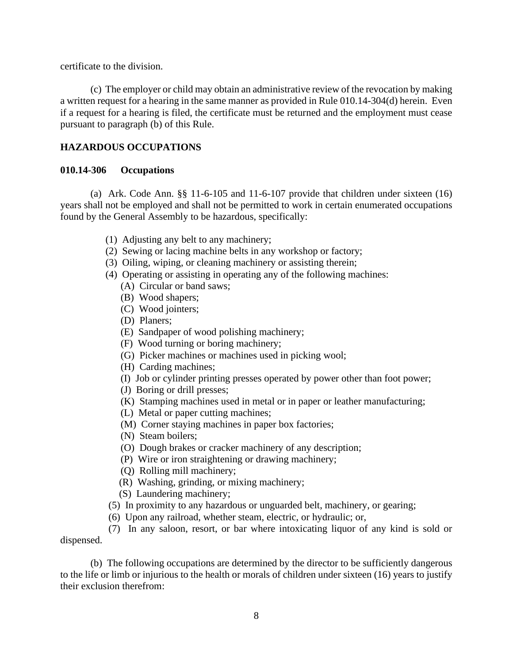certificate to the division.

(c) The employer or child may obtain an administrative review of the revocation by making a written request for a hearing in the same manner as provided in Rule 010.14-304(d) herein. Even if a request for a hearing is filed, the certificate must be returned and the employment must cease pursuant to paragraph (b) of this Rule.

## **HAZARDOUS OCCUPATIONS**

#### **010.14-306 Occupations**

(a) Ark. Code Ann. §§ 11-6-105 and 11-6-107 provide that children under sixteen (16) years shall not be employed and shall not be permitted to work in certain enumerated occupations found by the General Assembly to be hazardous, specifically:

- (1) Adjusting any belt to any machinery;
- (2) Sewing or lacing machine belts in any workshop or factory;
- (3) Oiling, wiping, or cleaning machinery or assisting therein;
- (4) Operating or assisting in operating any of the following machines:
	- (A) Circular or band saws;
	- (B) Wood shapers;
	- (C) Wood jointers;
	- (D) Planers;
	- (E) Sandpaper of wood polishing machinery;
	- (F) Wood turning or boring machinery;
	- (G) Picker machines or machines used in picking wool;
	- (H) Carding machines;
	- (I) Job or cylinder printing presses operated by power other than foot power;
	- (J) Boring or drill presses;
	- (K) Stamping machines used in metal or in paper or leather manufacturing;
	- (L) Metal or paper cutting machines;
	- (M) Corner staying machines in paper box factories;
	- (N) Steam boilers;
	- (O) Dough brakes or cracker machinery of any description;
	- (P) Wire or iron straightening or drawing machinery;
	- (Q) Rolling mill machinery;
	- (R) Washing, grinding, or mixing machinery;
	- (S) Laundering machinery;
- (5) In proximity to any hazardous or unguarded belt, machinery, or gearing;
- (6) Upon any railroad, whether steam, electric, or hydraulic; or,

(7) In any saloon, resort, or bar where intoxicating liquor of any kind is sold or dispensed.

(b) The following occupations are determined by the director to be sufficiently dangerous to the life or limb or injurious to the health or morals of children under sixteen (16) years to justify their exclusion therefrom: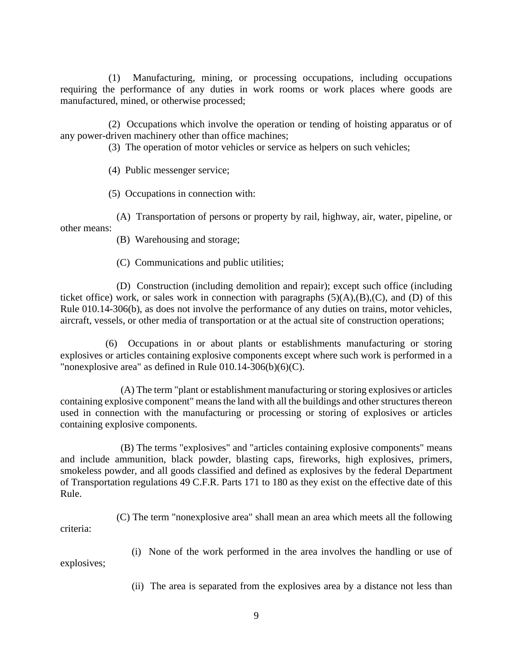(1) Manufacturing, mining, or processing occupations, including occupations requiring the performance of any duties in work rooms or work places where goods are manufactured, mined, or otherwise processed;

(2) Occupations which involve the operation or tending of hoisting apparatus or of any power-driven machinery other than office machines;

(3) The operation of motor vehicles or service as helpers on such vehicles;

(4) Public messenger service;

(5) Occupations in connection with:

(A) Transportation of persons or property by rail, highway, air, water, pipeline, or other means:

(B) Warehousing and storage;

(C) Communications and public utilities;

(D) Construction (including demolition and repair); except such office (including ticket office) work, or sales work in connection with paragraphs  $(5)(A),(B),(C)$ , and  $(D)$  of this Rule 010.14-306(b), as does not involve the performance of any duties on trains, motor vehicles, aircraft, vessels, or other media of transportation or at the actual site of construction operations;

(6) Occupations in or about plants or establishments manufacturing or storing explosives or articles containing explosive components except where such work is performed in a "nonexplosive area" as defined in Rule  $010.14-306(b)(6)(C)$ .

(A) The term "plant or establishment manufacturing or storing explosives or articles containing explosive component" means the land with all the buildings and other structures thereon used in connection with the manufacturing or processing or storing of explosives or articles containing explosive components.

(B) The terms "explosives" and "articles containing explosive components" means and include ammunition, black powder, blasting caps, fireworks, high explosives, primers, smokeless powder, and all goods classified and defined as explosives by the federal Department of Transportation regulations 49 C.F.R. Parts 171 to 180 as they exist on the effective date of this Rule.

(C) The term "nonexplosive area" shall mean an area which meets all the following criteria:

(i) None of the work performed in the area involves the handling or use of explosives;

(ii) The area is separated from the explosives area by a distance not less than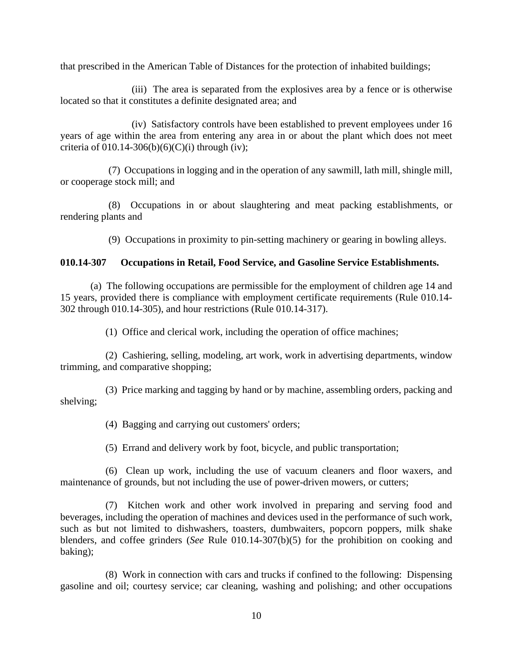that prescribed in the American Table of Distances for the protection of inhabited buildings;

(iii) The area is separated from the explosives area by a fence or is otherwise located so that it constitutes a definite designated area; and

(iv) Satisfactory controls have been established to prevent employees under 16 years of age within the area from entering any area in or about the plant which does not meet criteria of  $010.14-306(b)(6)(C)(i)$  through (iv);

(7) Occupations in logging and in the operation of any sawmill, lath mill, shingle mill, or cooperage stock mill; and

(8) Occupations in or about slaughtering and meat packing establishments, or rendering plants and

(9) Occupations in proximity to pin-setting machinery or gearing in bowling alleys.

# **010.14-307 Occupations in Retail, Food Service, and Gasoline Service Establishments.**

(a) The following occupations are permissible for the employment of children age 14 and 15 years, provided there is compliance with employment certificate requirements (Rule 010.14- 302 through 010.14-305), and hour restrictions (Rule 010.14-317).

(1) Office and clerical work, including the operation of office machines;

(2) Cashiering, selling, modeling, art work, work in advertising departments, window trimming, and comparative shopping;

(3) Price marking and tagging by hand or by machine, assembling orders, packing and shelving;

(4) Bagging and carrying out customers' orders;

(5) Errand and delivery work by foot, bicycle, and public transportation;

(6) Clean up work, including the use of vacuum cleaners and floor waxers, and maintenance of grounds, but not including the use of power-driven mowers, or cutters;

(7) Kitchen work and other work involved in preparing and serving food and beverages, including the operation of machines and devices used in the performance of such work, such as but not limited to dishwashers, toasters, dumbwaiters, popcorn poppers, milk shake blenders, and coffee grinders (*See* Rule 010.14-307(b)(5) for the prohibition on cooking and baking);

(8) Work in connection with cars and trucks if confined to the following: Dispensing gasoline and oil; courtesy service; car cleaning, washing and polishing; and other occupations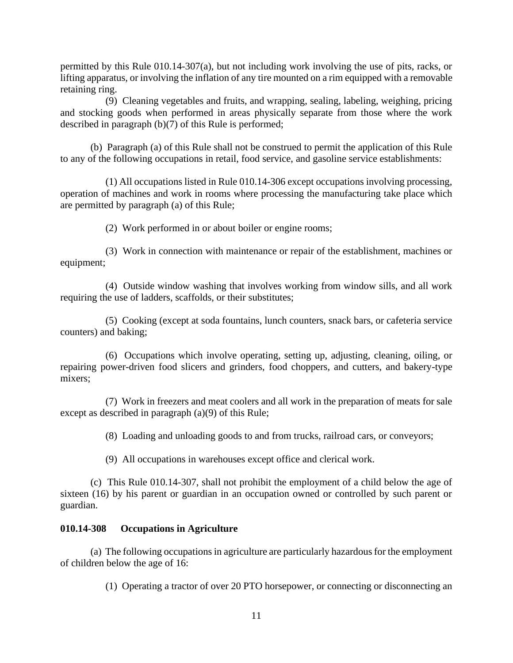permitted by this Rule 010.14-307(a), but not including work involving the use of pits, racks, or lifting apparatus, or involving the inflation of any tire mounted on a rim equipped with a removable retaining ring.

(9) Cleaning vegetables and fruits, and wrapping, sealing, labeling, weighing, pricing and stocking goods when performed in areas physically separate from those where the work described in paragraph (b)(7) of this Rule is performed;

(b) Paragraph (a) of this Rule shall not be construed to permit the application of this Rule to any of the following occupations in retail, food service, and gasoline service establishments:

(1) All occupations listed in Rule 010.14-306 except occupations involving processing, operation of machines and work in rooms where processing the manufacturing take place which are permitted by paragraph (a) of this Rule;

(2) Work performed in or about boiler or engine rooms;

(3) Work in connection with maintenance or repair of the establishment, machines or equipment;

(4) Outside window washing that involves working from window sills, and all work requiring the use of ladders, scaffolds, or their substitutes;

(5) Cooking (except at soda fountains, lunch counters, snack bars, or cafeteria service counters) and baking;

(6) Occupations which involve operating, setting up, adjusting, cleaning, oiling, or repairing power-driven food slicers and grinders, food choppers, and cutters, and bakery-type mixers;

(7) Work in freezers and meat coolers and all work in the preparation of meats for sale except as described in paragraph (a)(9) of this Rule;

(8) Loading and unloading goods to and from trucks, railroad cars, or conveyors;

(9) All occupations in warehouses except office and clerical work.

(c) This Rule 010.14-307, shall not prohibit the employment of a child below the age of sixteen (16) by his parent or guardian in an occupation owned or controlled by such parent or guardian.

#### **010.14-308 Occupations in Agriculture**

(a) The following occupations in agriculture are particularly hazardous for the employment of children below the age of 16:

(1) Operating a tractor of over 20 PTO horsepower, or connecting or disconnecting an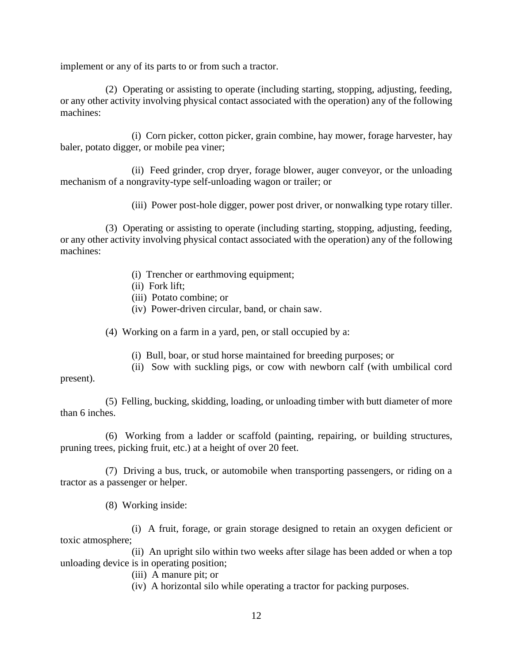implement or any of its parts to or from such a tractor.

(2) Operating or assisting to operate (including starting, stopping, adjusting, feeding, or any other activity involving physical contact associated with the operation) any of the following machines:

(i) Corn picker, cotton picker, grain combine, hay mower, forage harvester, hay baler, potato digger, or mobile pea viner;

(ii) Feed grinder, crop dryer, forage blower, auger conveyor, or the unloading mechanism of a nongravity-type self-unloading wagon or trailer; or

(iii) Power post-hole digger, power post driver, or nonwalking type rotary tiller.

(3) Operating or assisting to operate (including starting, stopping, adjusting, feeding, or any other activity involving physical contact associated with the operation) any of the following machines:

- (i) Trencher or earthmoving equipment;
- (ii) Fork lift;
- (iii) Potato combine; or
- (iv) Power-driven circular, band, or chain saw.

(4) Working on a farm in a yard, pen, or stall occupied by a:

- (i) Bull, boar, or stud horse maintained for breeding purposes; or
- (ii) Sow with suckling pigs, or cow with newborn calf (with umbilical cord

present).

(5) Felling, bucking, skidding, loading, or unloading timber with butt diameter of more than 6 inches.

(6) Working from a ladder or scaffold (painting, repairing, or building structures, pruning trees, picking fruit, etc.) at a height of over 20 feet.

(7) Driving a bus, truck, or automobile when transporting passengers, or riding on a tractor as a passenger or helper.

(8) Working inside:

(i) A fruit, forage, or grain storage designed to retain an oxygen deficient or toxic atmosphere;

(ii) An upright silo within two weeks after silage has been added or when a top unloading device is in operating position;

(iii) A manure pit; or

(iv) A horizontal silo while operating a tractor for packing purposes.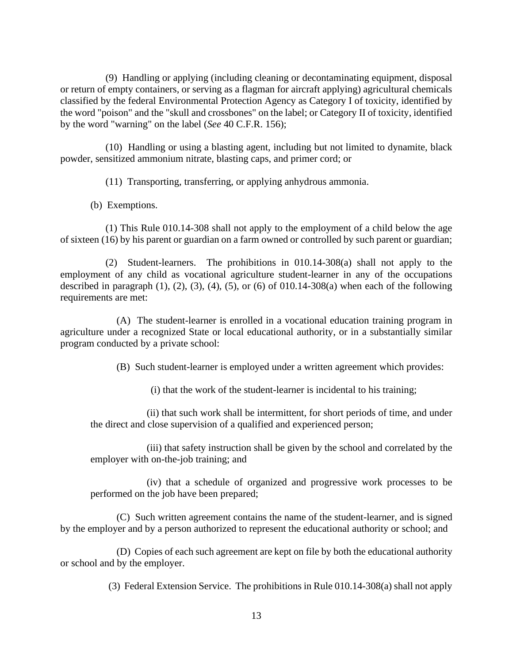(9) Handling or applying (including cleaning or decontaminating equipment, disposal or return of empty containers, or serving as a flagman for aircraft applying) agricultural chemicals classified by the federal Environmental Protection Agency as Category I of toxicity, identified by the word "poison" and the "skull and crossbones" on the label; or Category II of toxicity, identified by the word "warning" on the label (*See* 40 C.F.R. 156);

(10) Handling or using a blasting agent, including but not limited to dynamite, black powder, sensitized ammonium nitrate, blasting caps, and primer cord; or

(11) Transporting, transferring, or applying anhydrous ammonia.

(b) Exemptions.

(1) This Rule 010.14-308 shall not apply to the employment of a child below the age of sixteen (16) by his parent or guardian on a farm owned or controlled by such parent or guardian;

(2) Student-learners. The prohibitions in 010.14-308(a) shall not apply to the employment of any child as vocational agriculture student-learner in any of the occupations described in paragraph  $(1)$ ,  $(2)$ ,  $(3)$ ,  $(4)$ ,  $(5)$ , or  $(6)$  of 010.14-308 $(a)$  when each of the following requirements are met:

(A) The student-learner is enrolled in a vocational education training program in agriculture under a recognized State or local educational authority, or in a substantially similar program conducted by a private school:

(B) Such student-learner is employed under a written agreement which provides:

(i) that the work of the student-learner is incidental to his training;

(ii) that such work shall be intermittent, for short periods of time, and under the direct and close supervision of a qualified and experienced person;

(iii) that safety instruction shall be given by the school and correlated by the employer with on-the-job training; and

(iv) that a schedule of organized and progressive work processes to be performed on the job have been prepared;

(C) Such written agreement contains the name of the student-learner, and is signed by the employer and by a person authorized to represent the educational authority or school; and

(D) Copies of each such agreement are kept on file by both the educational authority or school and by the employer.

(3) Federal Extension Service. The prohibitions in Rule 010.14-308(a) shall not apply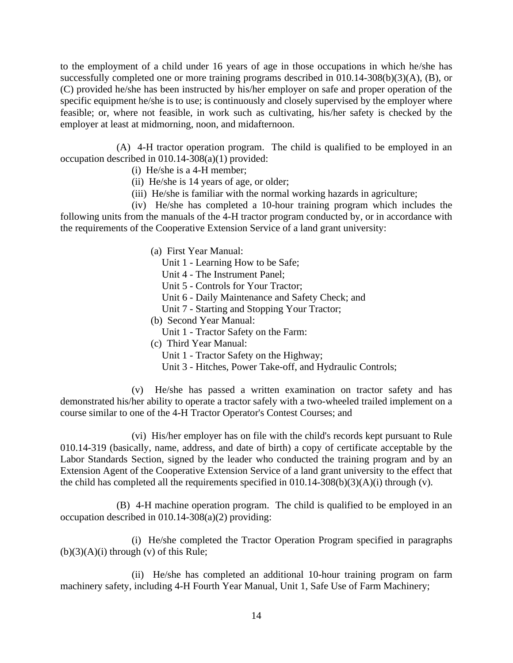to the employment of a child under 16 years of age in those occupations in which he/she has successfully completed one or more training programs described in 010.14-308(b)(3)(A), (B), or (C) provided he/she has been instructed by his/her employer on safe and proper operation of the specific equipment he/she is to use; is continuously and closely supervised by the employer where feasible; or, where not feasible, in work such as cultivating, his/her safety is checked by the employer at least at midmorning, noon, and midafternoon.

(A) 4-H tractor operation program. The child is qualified to be employed in an occupation described in 010.14-308(a)(1) provided:

- (i) He/she is a 4-H member;
- (ii) He/she is 14 years of age, or older;
- (iii) He/she is familiar with the normal working hazards in agriculture;

(iv) He/she has completed a 10-hour training program which includes the following units from the manuals of the 4-H tractor program conducted by, or in accordance with the requirements of the Cooperative Extension Service of a land grant university:

- (a) First Year Manual:
	- Unit 1 Learning How to be Safe;
	- Unit 4 The Instrument Panel;
	- Unit 5 Controls for Your Tractor;
	- Unit 6 Daily Maintenance and Safety Check; and
	- Unit 7 Starting and Stopping Your Tractor;
- (b) Second Year Manual:
- Unit 1 Tractor Safety on the Farm:
- (c) Third Year Manual:
	- Unit 1 Tractor Safety on the Highway;
	- Unit 3 Hitches, Power Take-off, and Hydraulic Controls;

(v) He/she has passed a written examination on tractor safety and has demonstrated his/her ability to operate a tractor safely with a two-wheeled trailed implement on a course similar to one of the 4-H Tractor Operator's Contest Courses; and

(vi) His/her employer has on file with the child's records kept pursuant to Rule 010.14-319 (basically, name, address, and date of birth) a copy of certificate acceptable by the Labor Standards Section, signed by the leader who conducted the training program and by an Extension Agent of the Cooperative Extension Service of a land grant university to the effect that the child has completed all the requirements specified in  $010.14-308(b)(3)(A)(i)$  through (v).

(B) 4-H machine operation program. The child is qualified to be employed in an occupation described in 010.14-308(a)(2) providing:

(i) He/she completed the Tractor Operation Program specified in paragraphs  $(b)(3)(A)(i)$  through  $(v)$  of this Rule;

(ii) He/she has completed an additional 10-hour training program on farm machinery safety, including 4-H Fourth Year Manual, Unit 1, Safe Use of Farm Machinery;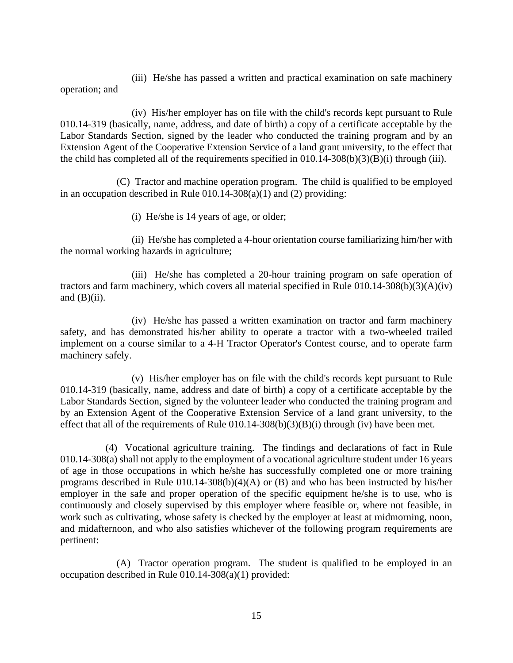(iii) He/she has passed a written and practical examination on safe machinery operation; and

(iv) His/her employer has on file with the child's records kept pursuant to Rule 010.14-319 (basically, name, address, and date of birth) a copy of a certificate acceptable by the Labor Standards Section, signed by the leader who conducted the training program and by an Extension Agent of the Cooperative Extension Service of a land grant university, to the effect that the child has completed all of the requirements specified in 010.14-308(b)(3)(B)(i) through (iii).

(C) Tractor and machine operation program. The child is qualified to be employed in an occupation described in Rule 010.14-308(a)(1) and (2) providing:

(i) He/she is 14 years of age, or older;

(ii) He/she has completed a 4-hour orientation course familiarizing him/her with the normal working hazards in agriculture;

(iii) He/she has completed a 20-hour training program on safe operation of tractors and farm machinery, which covers all material specified in Rule 010.14-308(b)(3)(A)(iv) and  $(B)(ii)$ .

(iv) He/she has passed a written examination on tractor and farm machinery safety, and has demonstrated his/her ability to operate a tractor with a two-wheeled trailed implement on a course similar to a 4-H Tractor Operator's Contest course, and to operate farm machinery safely.

(v) His/her employer has on file with the child's records kept pursuant to Rule 010.14-319 (basically, name, address and date of birth) a copy of a certificate acceptable by the Labor Standards Section, signed by the volunteer leader who conducted the training program and by an Extension Agent of the Cooperative Extension Service of a land grant university, to the effect that all of the requirements of Rule  $(10.14-308(b)(3)(B)(i)$  through (iv) have been met.

(4) Vocational agriculture training. The findings and declarations of fact in Rule 010.14-308(a) shall not apply to the employment of a vocational agriculture student under 16 years of age in those occupations in which he/she has successfully completed one or more training programs described in Rule  $010.14$ -308(b)(4)(A) or (B) and who has been instructed by his/her employer in the safe and proper operation of the specific equipment he/she is to use, who is continuously and closely supervised by this employer where feasible or, where not feasible, in work such as cultivating, whose safety is checked by the employer at least at midmorning, noon, and midafternoon, and who also satisfies whichever of the following program requirements are pertinent:

(A) Tractor operation program. The student is qualified to be employed in an occupation described in Rule 010.14-308(a)(1) provided: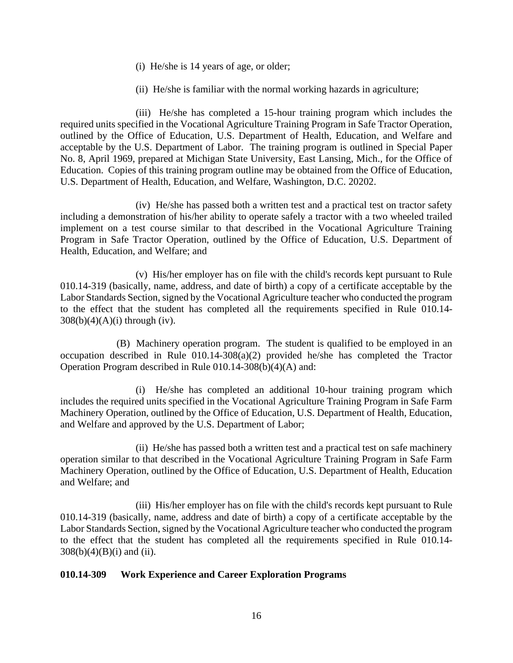- (i) He/she is 14 years of age, or older;
- (ii) He/she is familiar with the normal working hazards in agriculture;

(iii) He/she has completed a 15-hour training program which includes the required units specified in the Vocational Agriculture Training Program in Safe Tractor Operation, outlined by the Office of Education, U.S. Department of Health, Education, and Welfare and acceptable by the U.S. Department of Labor. The training program is outlined in Special Paper No. 8, April 1969, prepared at Michigan State University, East Lansing, Mich., for the Office of Education. Copies of this training program outline may be obtained from the Office of Education, U.S. Department of Health, Education, and Welfare, Washington, D.C. 20202.

(iv) He/she has passed both a written test and a practical test on tractor safety including a demonstration of his/her ability to operate safely a tractor with a two wheeled trailed implement on a test course similar to that described in the Vocational Agriculture Training Program in Safe Tractor Operation, outlined by the Office of Education, U.S. Department of Health, Education, and Welfare; and

(v) His/her employer has on file with the child's records kept pursuant to Rule 010.14-319 (basically, name, address, and date of birth) a copy of a certificate acceptable by the Labor Standards Section, signed by the Vocational Agriculture teacher who conducted the program to the effect that the student has completed all the requirements specified in Rule 010.14-  $308(b)(4)(A)(i)$  through (iv).

(B) Machinery operation program. The student is qualified to be employed in an occupation described in Rule  $010.14-308(a)(2)$  provided he/she has completed the Tractor Operation Program described in Rule 010.14-308(b)(4)(A) and:

(i) He/she has completed an additional 10-hour training program which includes the required units specified in the Vocational Agriculture Training Program in Safe Farm Machinery Operation, outlined by the Office of Education, U.S. Department of Health, Education, and Welfare and approved by the U.S. Department of Labor;

(ii) He/she has passed both a written test and a practical test on safe machinery operation similar to that described in the Vocational Agriculture Training Program in Safe Farm Machinery Operation, outlined by the Office of Education, U.S. Department of Health, Education and Welfare; and

(iii) His/her employer has on file with the child's records kept pursuant to Rule 010.14-319 (basically, name, address and date of birth) a copy of a certificate acceptable by the Labor Standards Section, signed by the Vocational Agriculture teacher who conducted the program to the effect that the student has completed all the requirements specified in Rule 010.14-  $308(b)(4)(B)(i)$  and (ii).

#### **010.14-309 Work Experience and Career Exploration Programs**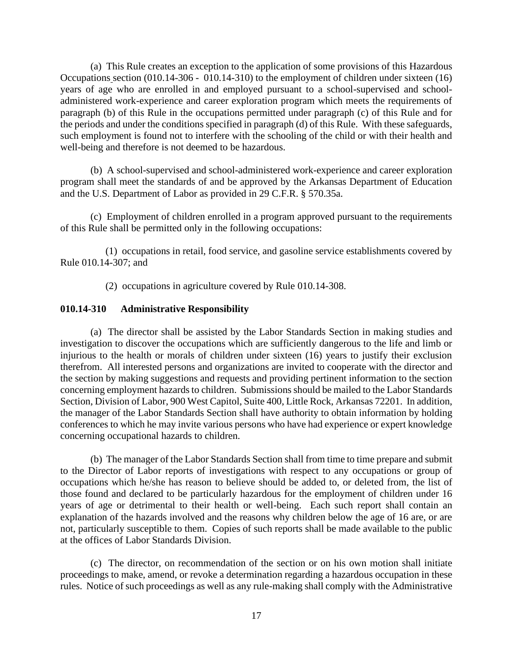(a) This Rule creates an exception to the application of some provisions of this Hazardous Occupations section (010.14-306 - 010.14-310) to the employment of children under sixteen (16) years of age who are enrolled in and employed pursuant to a school-supervised and schooladministered work-experience and career exploration program which meets the requirements of paragraph (b) of this Rule in the occupations permitted under paragraph (c) of this Rule and for the periods and under the conditions specified in paragraph (d) of this Rule. With these safeguards, such employment is found not to interfere with the schooling of the child or with their health and well-being and therefore is not deemed to be hazardous.

(b) A school-supervised and school-administered work-experience and career exploration program shall meet the standards of and be approved by the Arkansas Department of Education and the U.S. Department of Labor as provided in 29 C.F.R. § 570.35a.

(c) Employment of children enrolled in a program approved pursuant to the requirements of this Rule shall be permitted only in the following occupations:

(1) occupations in retail, food service, and gasoline service establishments covered by Rule 010.14-307; and

(2) occupations in agriculture covered by Rule 010.14-308.

#### **010.14-310 Administrative Responsibility**

(a) The director shall be assisted by the Labor Standards Section in making studies and investigation to discover the occupations which are sufficiently dangerous to the life and limb or injurious to the health or morals of children under sixteen (16) years to justify their exclusion therefrom. All interested persons and organizations are invited to cooperate with the director and the section by making suggestions and requests and providing pertinent information to the section concerning employment hazards to children. Submissions should be mailed to the Labor Standards Section, Division of Labor, 900 West Capitol, Suite 400, Little Rock, Arkansas 72201. In addition, the manager of the Labor Standards Section shall have authority to obtain information by holding conferences to which he may invite various persons who have had experience or expert knowledge concerning occupational hazards to children.

(b) The manager of the Labor Standards Section shall from time to time prepare and submit to the Director of Labor reports of investigations with respect to any occupations or group of occupations which he/she has reason to believe should be added to, or deleted from, the list of those found and declared to be particularly hazardous for the employment of children under 16 years of age or detrimental to their health or well-being. Each such report shall contain an explanation of the hazards involved and the reasons why children below the age of 16 are, or are not, particularly susceptible to them. Copies of such reports shall be made available to the public at the offices of Labor Standards Division.

(c) The director, on recommendation of the section or on his own motion shall initiate proceedings to make, amend, or revoke a determination regarding a hazardous occupation in these rules. Notice of such proceedings as well as any rule-making shall comply with the Administrative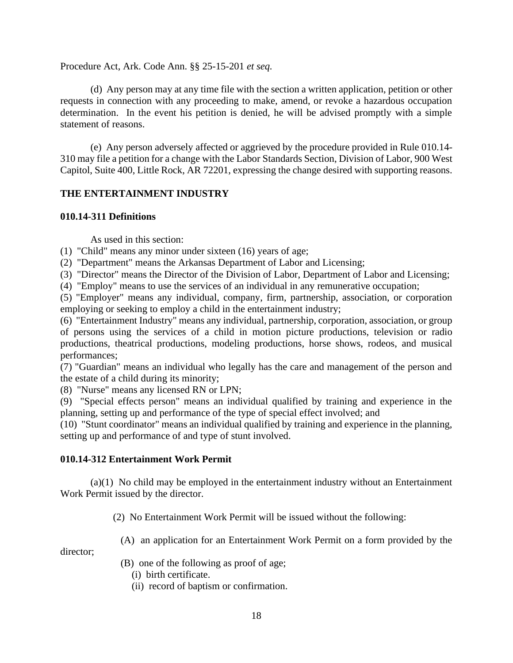Procedure Act, Ark. Code Ann. §§ 25-15-201 *et seq.*

(d) Any person may at any time file with the section a written application, petition or other requests in connection with any proceeding to make, amend, or revoke a hazardous occupation determination. In the event his petition is denied, he will be advised promptly with a simple statement of reasons.

(e) Any person adversely affected or aggrieved by the procedure provided in Rule 010.14- 310 may file a petition for a change with the Labor Standards Section, Division of Labor, 900 West Capitol, Suite 400, Little Rock, AR 72201, expressing the change desired with supporting reasons.

# **THE ENTERTAINMENT INDUSTRY**

#### **010.14-311 Definitions**

As used in this section:

(1) "Child" means any minor under sixteen (16) years of age;

(2) "Department" means the Arkansas Department of Labor and Licensing;

(3) "Director" means the Director of the Division of Labor, Department of Labor and Licensing;

(4) "Employ" means to use the services of an individual in any remunerative occupation;

(5) "Employer" means any individual, company, firm, partnership, association, or corporation employing or seeking to employ a child in the entertainment industry;

(6) "Entertainment Industry" means any individual, partnership, corporation, association, or group of persons using the services of a child in motion picture productions, television or radio productions, theatrical productions, modeling productions, horse shows, rodeos, and musical performances;

(7) "Guardian" means an individual who legally has the care and management of the person and the estate of a child during its minority;

(8) "Nurse" means any licensed RN or LPN;

(9) "Special effects person" means an individual qualified by training and experience in the planning, setting up and performance of the type of special effect involved; and

(10) "Stunt coordinator" means an individual qualified by training and experience in the planning, setting up and performance of and type of stunt involved.

#### **010.14-312 Entertainment Work Permit**

(a)(1) No child may be employed in the entertainment industry without an Entertainment Work Permit issued by the director.

(2) No Entertainment Work Permit will be issued without the following:

(A) an application for an Entertainment Work Permit on a form provided by the

director;

(B) one of the following as proof of age;

- (i) birth certificate.
- (ii) record of baptism or confirmation.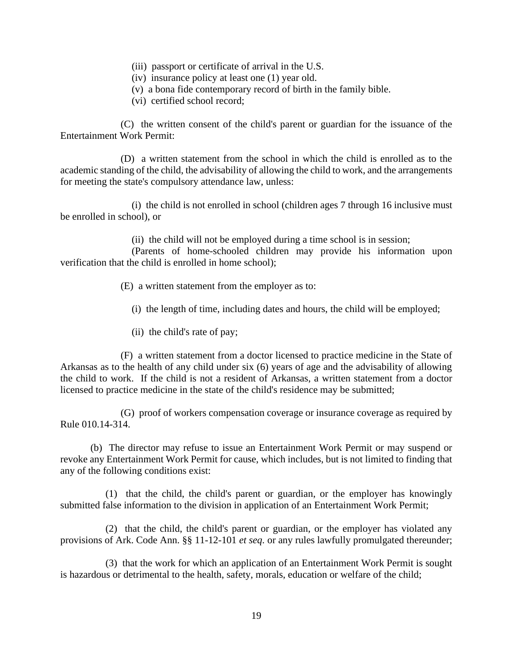- (iii) passport or certificate of arrival in the U.S.
- (iv) insurance policy at least one (1) year old.
- (v) a bona fide contemporary record of birth in the family bible.
- (vi) certified school record;

(C) the written consent of the child's parent or guardian for the issuance of the Entertainment Work Permit:

(D) a written statement from the school in which the child is enrolled as to the academic standing of the child, the advisability of allowing the child to work, and the arrangements for meeting the state's compulsory attendance law, unless:

(i) the child is not enrolled in school (children ages 7 through 16 inclusive must be enrolled in school), or

(ii) the child will not be employed during a time school is in session;

(Parents of home-schooled children may provide his information upon verification that the child is enrolled in home school);

(E) a written statement from the employer as to:

(i) the length of time, including dates and hours, the child will be employed;

(ii) the child's rate of pay;

(F) a written statement from a doctor licensed to practice medicine in the State of Arkansas as to the health of any child under six (6) years of age and the advisability of allowing the child to work. If the child is not a resident of Arkansas, a written statement from a doctor licensed to practice medicine in the state of the child's residence may be submitted;

(G) proof of workers compensation coverage or insurance coverage as required by Rule 010.14-314.

(b) The director may refuse to issue an Entertainment Work Permit or may suspend or revoke any Entertainment Work Permit for cause, which includes, but is not limited to finding that any of the following conditions exist:

(1) that the child, the child's parent or guardian, or the employer has knowingly submitted false information to the division in application of an Entertainment Work Permit;

(2) that the child, the child's parent or guardian, or the employer has violated any provisions of Ark. Code Ann. §§ 11-12-101 *et seq.* or any rules lawfully promulgated thereunder;

(3) that the work for which an application of an Entertainment Work Permit is sought is hazardous or detrimental to the health, safety, morals, education or welfare of the child;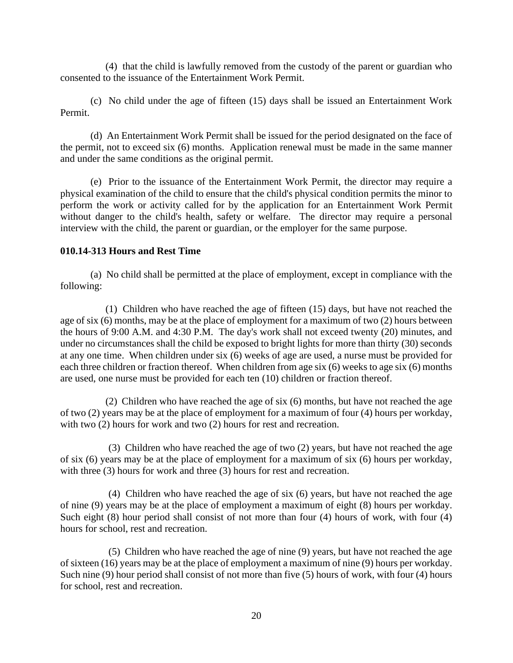(4) that the child is lawfully removed from the custody of the parent or guardian who consented to the issuance of the Entertainment Work Permit.

(c) No child under the age of fifteen (15) days shall be issued an Entertainment Work Permit.

(d) An Entertainment Work Permit shall be issued for the period designated on the face of the permit, not to exceed six (6) months. Application renewal must be made in the same manner and under the same conditions as the original permit.

(e) Prior to the issuance of the Entertainment Work Permit, the director may require a physical examination of the child to ensure that the child's physical condition permits the minor to perform the work or activity called for by the application for an Entertainment Work Permit without danger to the child's health, safety or welfare. The director may require a personal interview with the child, the parent or guardian, or the employer for the same purpose.

# **010.14-313 Hours and Rest Time**

(a) No child shall be permitted at the place of employment, except in compliance with the following:

(1) Children who have reached the age of fifteen (15) days, but have not reached the age of six (6) months, may be at the place of employment for a maximum of two (2) hours between the hours of 9:00 A.M. and 4:30 P.M. The day's work shall not exceed twenty (20) minutes, and under no circumstances shall the child be exposed to bright lights for more than thirty (30) seconds at any one time. When children under six (6) weeks of age are used, a nurse must be provided for each three children or fraction thereof. When children from age six (6) weeks to age six (6) months are used, one nurse must be provided for each ten (10) children or fraction thereof.

(2) Children who have reached the age of six (6) months, but have not reached the age of two (2) years may be at the place of employment for a maximum of four (4) hours per workday, with two (2) hours for work and two (2) hours for rest and recreation.

(3) Children who have reached the age of two (2) years, but have not reached the age of six (6) years may be at the place of employment for a maximum of six (6) hours per workday, with three (3) hours for work and three (3) hours for rest and recreation.

(4) Children who have reached the age of six (6) years, but have not reached the age of nine (9) years may be at the place of employment a maximum of eight (8) hours per workday. Such eight (8) hour period shall consist of not more than four (4) hours of work, with four (4) hours for school, rest and recreation.

(5) Children who have reached the age of nine (9) years, but have not reached the age of sixteen (16) years may be at the place of employment a maximum of nine (9) hours per workday. Such nine (9) hour period shall consist of not more than five (5) hours of work, with four (4) hours for school, rest and recreation.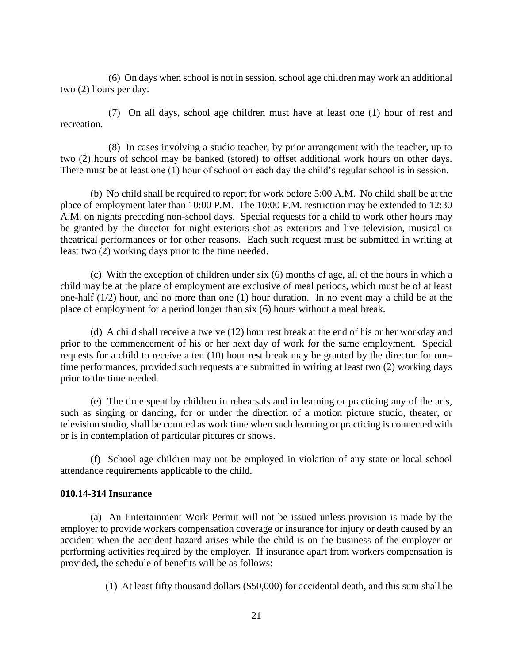(6) On days when school is not in session, school age children may work an additional two (2) hours per day.

(7) On all days, school age children must have at least one (1) hour of rest and recreation.

(8) In cases involving a studio teacher, by prior arrangement with the teacher, up to two (2) hours of school may be banked (stored) to offset additional work hours on other days. There must be at least one (1) hour of school on each day the child's regular school is in session.

(b) No child shall be required to report for work before 5:00 A.M. No child shall be at the place of employment later than 10:00 P.M. The 10:00 P.M. restriction may be extended to 12:30 A.M. on nights preceding non-school days. Special requests for a child to work other hours may be granted by the director for night exteriors shot as exteriors and live television, musical or theatrical performances or for other reasons. Each such request must be submitted in writing at least two (2) working days prior to the time needed.

(c) With the exception of children under six (6) months of age, all of the hours in which a child may be at the place of employment are exclusive of meal periods, which must be of at least one-half (1/2) hour, and no more than one (1) hour duration. In no event may a child be at the place of employment for a period longer than six (6) hours without a meal break.

(d) A child shall receive a twelve (12) hour rest break at the end of his or her workday and prior to the commencement of his or her next day of work for the same employment. Special requests for a child to receive a ten (10) hour rest break may be granted by the director for onetime performances, provided such requests are submitted in writing at least two (2) working days prior to the time needed.

(e) The time spent by children in rehearsals and in learning or practicing any of the arts, such as singing or dancing, for or under the direction of a motion picture studio, theater, or television studio, shall be counted as work time when such learning or practicing is connected with or is in contemplation of particular pictures or shows.

(f) School age children may not be employed in violation of any state or local school attendance requirements applicable to the child.

#### **010.14-314 Insurance**

(a) An Entertainment Work Permit will not be issued unless provision is made by the employer to provide workers compensation coverage or insurance for injury or death caused by an accident when the accident hazard arises while the child is on the business of the employer or performing activities required by the employer. If insurance apart from workers compensation is provided, the schedule of benefits will be as follows:

(1) At least fifty thousand dollars (\$50,000) for accidental death, and this sum shall be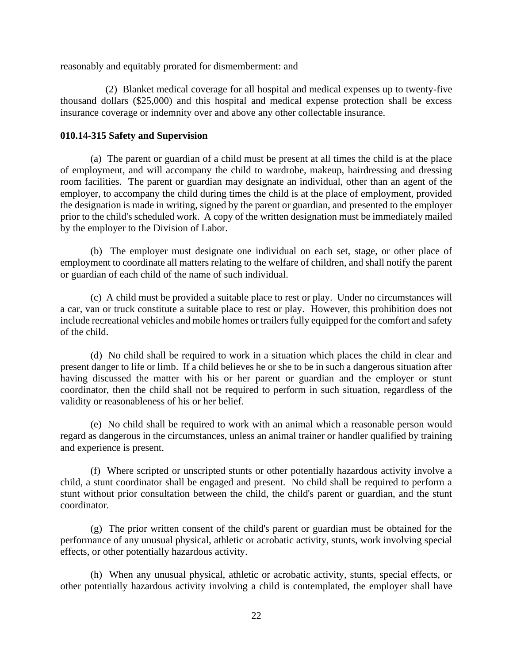reasonably and equitably prorated for dismemberment: and

(2) Blanket medical coverage for all hospital and medical expenses up to twenty-five thousand dollars (\$25,000) and this hospital and medical expense protection shall be excess insurance coverage or indemnity over and above any other collectable insurance.

## **010.14-315 Safety and Supervision**

(a) The parent or guardian of a child must be present at all times the child is at the place of employment, and will accompany the child to wardrobe, makeup, hairdressing and dressing room facilities. The parent or guardian may designate an individual, other than an agent of the employer, to accompany the child during times the child is at the place of employment, provided the designation is made in writing, signed by the parent or guardian, and presented to the employer prior to the child's scheduled work. A copy of the written designation must be immediately mailed by the employer to the Division of Labor.

(b) The employer must designate one individual on each set, stage, or other place of employment to coordinate all matters relating to the welfare of children, and shall notify the parent or guardian of each child of the name of such individual.

(c) A child must be provided a suitable place to rest or play. Under no circumstances will a car, van or truck constitute a suitable place to rest or play. However, this prohibition does not include recreational vehicles and mobile homes or trailers fully equipped for the comfort and safety of the child.

(d) No child shall be required to work in a situation which places the child in clear and present danger to life or limb. If a child believes he or she to be in such a dangerous situation after having discussed the matter with his or her parent or guardian and the employer or stunt coordinator, then the child shall not be required to perform in such situation, regardless of the validity or reasonableness of his or her belief.

(e) No child shall be required to work with an animal which a reasonable person would regard as dangerous in the circumstances, unless an animal trainer or handler qualified by training and experience is present.

(f) Where scripted or unscripted stunts or other potentially hazardous activity involve a child, a stunt coordinator shall be engaged and present. No child shall be required to perform a stunt without prior consultation between the child, the child's parent or guardian, and the stunt coordinator.

(g) The prior written consent of the child's parent or guardian must be obtained for the performance of any unusual physical, athletic or acrobatic activity, stunts, work involving special effects, or other potentially hazardous activity.

(h) When any unusual physical, athletic or acrobatic activity, stunts, special effects, or other potentially hazardous activity involving a child is contemplated, the employer shall have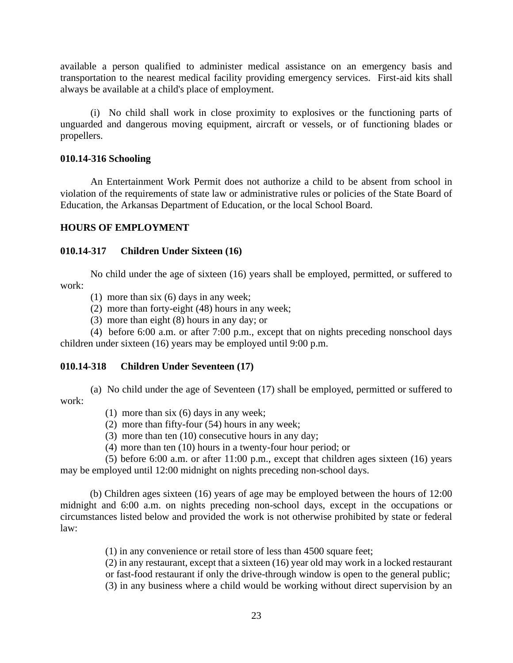available a person qualified to administer medical assistance on an emergency basis and transportation to the nearest medical facility providing emergency services. First-aid kits shall always be available at a child's place of employment.

(i) No child shall work in close proximity to explosives or the functioning parts of unguarded and dangerous moving equipment, aircraft or vessels, or of functioning blades or propellers.

#### **010.14-316 Schooling**

An Entertainment Work Permit does not authorize a child to be absent from school in violation of the requirements of state law or administrative rules or policies of the State Board of Education, the Arkansas Department of Education, or the local School Board.

#### **HOURS OF EMPLOYMENT**

# **010.14-317 Children Under Sixteen (16)**

No child under the age of sixteen (16) years shall be employed, permitted, or suffered to work:

- (1) more than six (6) days in any week;
- (2) more than forty-eight (48) hours in any week;
- (3) more than eight (8) hours in any day; or

(4) before 6:00 a.m. or after 7:00 p.m., except that on nights preceding nonschool days children under sixteen (16) years may be employed until 9:00 p.m.

#### **010.14-318 Children Under Seventeen (17)**

(a) No child under the age of Seventeen (17) shall be employed, permitted or suffered to work:

- (1) more than six (6) days in any week;
- (2) more than fifty-four (54) hours in any week;
- (3) more than ten  $(10)$  consecutive hours in any day;
- (4) more than ten (10) hours in a twenty-four hour period; or

(5) before 6:00 a.m. or after 11:00 p.m., except that children ages sixteen (16) years may be employed until 12:00 midnight on nights preceding non-school days.

(b) Children ages sixteen (16) years of age may be employed between the hours of 12:00 midnight and 6:00 a.m. on nights preceding non-school days, except in the occupations or circumstances listed below and provided the work is not otherwise prohibited by state or federal law:

(1) in any convenience or retail store of less than 4500 square feet;

(2) in any restaurant, except that a sixteen (16) year old may work in a locked restaurant or fast-food restaurant if only the drive-through window is open to the general public; (3) in any business where a child would be working without direct supervision by an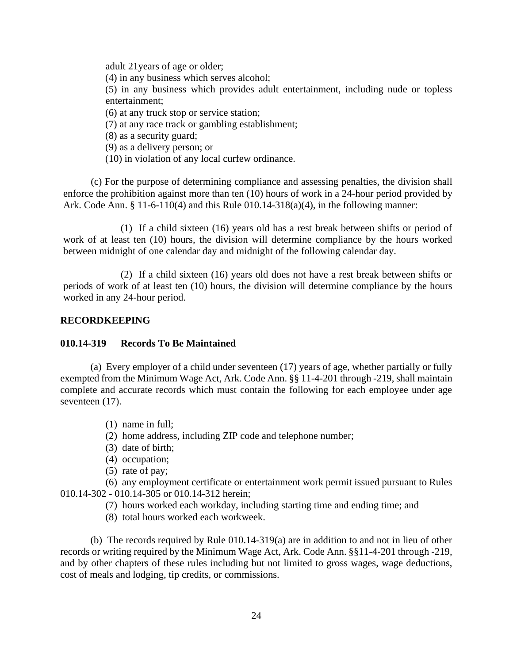adult 21years of age or older; (4) in any business which serves alcohol; (5) in any business which provides adult entertainment, including nude or topless entertainment; (6) at any truck stop or service station; (7) at any race track or gambling establishment; (8) as a security guard; (9) as a delivery person; or (10) in violation of any local curfew ordinance.

(c) For the purpose of determining compliance and assessing penalties, the division shall enforce the prohibition against more than ten (10) hours of work in a 24-hour period provided by Ark. Code Ann. § 11-6-110(4) and this Rule 010.14-318(a)(4), in the following manner:

(1) If a child sixteen (16) years old has a rest break between shifts or period of work of at least ten (10) hours, the division will determine compliance by the hours worked between midnight of one calendar day and midnight of the following calendar day.

(2) If a child sixteen (16) years old does not have a rest break between shifts or periods of work of at least ten (10) hours, the division will determine compliance by the hours worked in any 24-hour period.

#### **RECORDKEEPING**

#### **010.14-319 Records To Be Maintained**

(a) Every employer of a child under seventeen (17) years of age, whether partially or fully exempted from the Minimum Wage Act, Ark. Code Ann. §§ 11-4-201 through -219, shall maintain complete and accurate records which must contain the following for each employee under age seventeen  $(17)$ .

- (1) name in full;
- (2) home address, including ZIP code and telephone number;
- (3) date of birth;
- (4) occupation;
- (5) rate of pay;

(6) any employment certificate or entertainment work permit issued pursuant to Rules 010.14-302 - 010.14-305 or 010.14-312 herein;

- (7) hours worked each workday, including starting time and ending time; and
- (8) total hours worked each workweek.

(b) The records required by Rule 010.14-319(a) are in addition to and not in lieu of other records or writing required by the Minimum Wage Act, Ark. Code Ann. §§11-4-201 through -219, and by other chapters of these rules including but not limited to gross wages, wage deductions, cost of meals and lodging, tip credits, or commissions.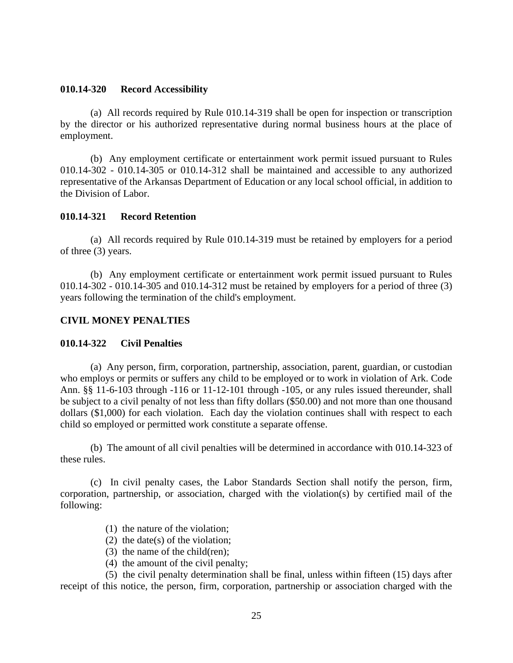#### **010.14-320 Record Accessibility**

(a) All records required by Rule 010.14-319 shall be open for inspection or transcription by the director or his authorized representative during normal business hours at the place of employment.

(b) Any employment certificate or entertainment work permit issued pursuant to Rules 010.14-302 - 010.14-305 or 010.14-312 shall be maintained and accessible to any authorized representative of the Arkansas Department of Education or any local school official, in addition to the Division of Labor.

#### **010.14-321 Record Retention**

(a) All records required by Rule 010.14-319 must be retained by employers for a period of three (3) years.

(b) Any employment certificate or entertainment work permit issued pursuant to Rules 010.14-302 - 010.14-305 and 010.14-312 must be retained by employers for a period of three (3) years following the termination of the child's employment.

#### **CIVIL MONEY PENALTIES**

#### **010.14-322 Civil Penalties**

(a) Any person, firm, corporation, partnership, association, parent, guardian, or custodian who employs or permits or suffers any child to be employed or to work in violation of Ark. Code Ann. §§ 11-6-103 through -116 or 11-12-101 through -105, or any rules issued thereunder, shall be subject to a civil penalty of not less than fifty dollars (\$50.00) and not more than one thousand dollars (\$1,000) for each violation. Each day the violation continues shall with respect to each child so employed or permitted work constitute a separate offense.

(b) The amount of all civil penalties will be determined in accordance with 010.14-323 of these rules.

(c) In civil penalty cases, the Labor Standards Section shall notify the person, firm, corporation, partnership, or association, charged with the violation(s) by certified mail of the following:

- (1) the nature of the violation;
- (2) the date(s) of the violation;
- (3) the name of the child(ren);
- (4) the amount of the civil penalty;

(5) the civil penalty determination shall be final, unless within fifteen (15) days after receipt of this notice, the person, firm, corporation, partnership or association charged with the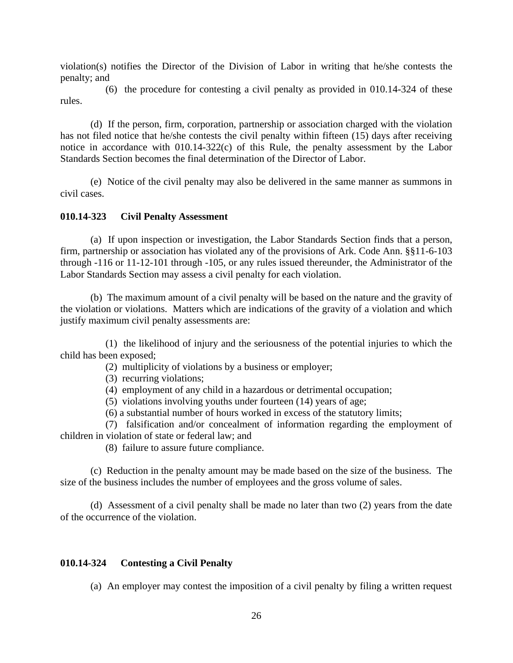violation(s) notifies the Director of the Division of Labor in writing that he/she contests the penalty; and

(6) the procedure for contesting a civil penalty as provided in 010.14-324 of these rules.

(d) If the person, firm, corporation, partnership or association charged with the violation has not filed notice that he/she contests the civil penalty within fifteen (15) days after receiving notice in accordance with 010.14-322(c) of this Rule, the penalty assessment by the Labor Standards Section becomes the final determination of the Director of Labor.

(e) Notice of the civil penalty may also be delivered in the same manner as summons in civil cases.

#### **010.14-323 Civil Penalty Assessment**

(a) If upon inspection or investigation, the Labor Standards Section finds that a person, firm, partnership or association has violated any of the provisions of Ark. Code Ann. §§11-6-103 through -116 or 11-12-101 through -105, or any rules issued thereunder, the Administrator of the Labor Standards Section may assess a civil penalty for each violation.

(b) The maximum amount of a civil penalty will be based on the nature and the gravity of the violation or violations. Matters which are indications of the gravity of a violation and which justify maximum civil penalty assessments are:

(1) the likelihood of injury and the seriousness of the potential injuries to which the child has been exposed;

- (2) multiplicity of violations by a business or employer;
- (3) recurring violations;
- (4) employment of any child in a hazardous or detrimental occupation;
- (5) violations involving youths under fourteen (14) years of age;
- (6) a substantial number of hours worked in excess of the statutory limits;

(7) falsification and/or concealment of information regarding the employment of children in violation of state or federal law; and

(8) failure to assure future compliance.

(c) Reduction in the penalty amount may be made based on the size of the business. The size of the business includes the number of employees and the gross volume of sales.

(d) Assessment of a civil penalty shall be made no later than two (2) years from the date of the occurrence of the violation.

# **010.14-324 Contesting a Civil Penalty**

(a) An employer may contest the imposition of a civil penalty by filing a written request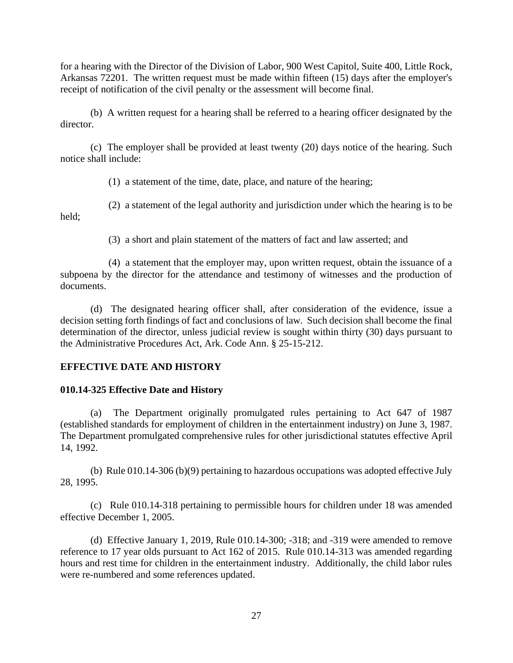for a hearing with the Director of the Division of Labor, 900 West Capitol, Suite 400, Little Rock, Arkansas 72201. The written request must be made within fifteen (15) days after the employer's receipt of notification of the civil penalty or the assessment will become final.

(b) A written request for a hearing shall be referred to a hearing officer designated by the director.

(c) The employer shall be provided at least twenty (20) days notice of the hearing. Such notice shall include:

(1) a statement of the time, date, place, and nature of the hearing;

(2) a statement of the legal authority and jurisdiction under which the hearing is to be held;

(3) a short and plain statement of the matters of fact and law asserted; and

(4) a statement that the employer may, upon written request, obtain the issuance of a subpoena by the director for the attendance and testimony of witnesses and the production of documents.

(d) The designated hearing officer shall, after consideration of the evidence, issue a decision setting forth findings of fact and conclusions of law. Such decision shall become the final determination of the director, unless judicial review is sought within thirty (30) days pursuant to the Administrative Procedures Act, Ark. Code Ann. § 25-15-212.

# **EFFECTIVE DATE AND HISTORY**

#### **010.14-325 Effective Date and History**

(a) The Department originally promulgated rules pertaining to Act 647 of 1987 (established standards for employment of children in the entertainment industry) on June 3, 1987. The Department promulgated comprehensive rules for other jurisdictional statutes effective April 14, 1992.

(b) Rule 010.14-306 (b)(9) pertaining to hazardous occupations was adopted effective July 28, 1995.

(c) Rule 010.14-318 pertaining to permissible hours for children under 18 was amended effective December 1, 2005.

(d) Effective January 1, 2019, Rule 010.14-300; -318; and -319 were amended to remove reference to 17 year olds pursuant to Act 162 of 2015. Rule 010.14-313 was amended regarding hours and rest time for children in the entertainment industry. Additionally, the child labor rules were re-numbered and some references updated.